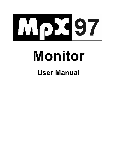

# **Monitor**

# **User Manual**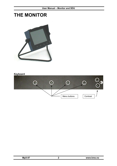# **THE MONITOR**



#### **Keyboard**

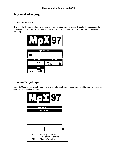# **Normal start-up**

#### **System check**

The first that happens, after the monitor is turned on, is a system check. This check makes sure that the system units in the monitor are working and that the communication with the rest of the system is working.



#### **Choose Target type**

Each SDU contains a target-menu that is unique for each system. Any additional targets-types can be ordered by contacting vendor.

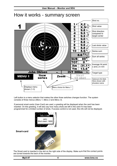$\overline{5}$ 

 $\overline{4}$ 3  $\overline{2}$  $\mathbf{1}$ 

6



# How it works - summary screen

7

 $\overline{8}$ 

g

 $\overline{6}$ 

**SUB** 89  $\overline{5}$  $\overline{4}$ тот 0 3 Average hit point Хm  $-31.1$  $\overline{2}$ x and y in mm Υm 13.4 1 INTESODALE SE John Onten III Target type **New** Next **MENU1** Zoom 10 shot series Optional info-field. Here shown with shooters name Displays menu Menu choice for Menu 1 shown (1-3)

6

7  $\overline{\mathbf{8}}$ 

 $\overline{\mathbf{9}}$ 

 $\overline{10}$ 

 $9.0 \le$ 

 $8.8 \rightarrow$ 

9.6  $\angle$ 

8.8  $\not\in$ 

 $8.6<sub>W</sub>$ 

**BRACK** 

Left button is a menu selector that makes the other three switches changes function. The system consists of three menus (*Menu 1*, *Menu 2* and *Menu 3*).

If personal smart-cards (User-Card) are used, a greeting will be displayed when the card has been inserted. On this greeting, it will also say how many shots are left in the card if it has been programmed for a limited number of shots. If access control is not used, this info will not be displayed.



**Smart-card** 

 $\bar{2}$ 3  $\sqrt{4}$ 5  $6$ 

1



The Smart-card is inserted in the slot on the right side of the display. Make sure that the contact points are turned towards the back of the monitor.

Shot no.

Shot value

Shot direction compared to target center

Last shots value

Series sum

Sum all series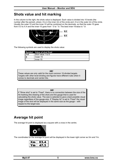# **Shots value and hit marking**

In the column to the right, the shots value is displayed. Each value is divided into 10 levels (the number after the period), where .9 is in the inner rim of the circle and .0 is in the outer rim of the circle. Usually the outer-10 and the inner-10 will be combined on the decimals, so that the outer-10 goes from X.0 to X.4 and the inner-10 goes from \*.5 to \*.9. The best inner-10value is \*.9.



The following symbols are used to display the shots value:

|       | <b>Symbol</b> Value of shot fired |
|-------|-----------------------------------|
| l 1-9 | Shot value 1 to 9                 |
| l x   | Outer-10                          |
| l *   | $Inner-10$                        |

*NB!* 

These values are only valid for the most common 10-divided targets. Targets with other level-dividing and figures have different rules when it comes to decimals and center-hits.

*NB!* 

If "Show shot" is set to "Fixed", there is no connection between the size of the hit-marking (the drawing of the shot) and the gauge that is used for calculating the shots value. The size is selected to give a best possible visual image regardless of the gauge-size. If "Display hit" is set to "Fixed" the visual image of the shot will be displayed in the same size as the gauge – with respect to the target size.

# **Average hit point**

The average hit point is displayed as a square with a cross in the centre.



The coordinates for the average hit point will be displayed in the lower right corner as Xm and Ym.

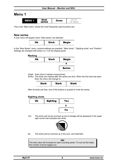# **Menu 1**

| a War<br>ı<br>г<br>л.<br>ш<br>١S<br>е<br>--<br>÷ | m | N<br>s<br>æŧ<br>1<br>shot<br>Ñ<br>mar |
|--------------------------------------------------|---|---------------------------------------|
|--------------------------------------------------|---|---------------------------------------|

This is the "Main menu" where the most frequently used functions are.

#### **New series**

A new menu will appear when "New series" are selected:

| Ωk | Mark | Single |
|----|------|--------|
|    |      |        |

In the "New Series" menu, several settings are possible: "Mark shots", "Sighting shots" and "Position". Settings are changed with button no. 3 on the display-panel.

**Marking** 



*Single* Each shot is marked consecutively

*Series* The shots are marked after the series are shot. When the first shot has been fired, the menu will change to:

| lark<br>mark<br>ш<br>TK.<br>MЭ<br>IV |
|--------------------------------------|
|--------------------------------------|

After all shots are fires, one of the buttons is pushed to mark the series.

#### **Sighting shots**

| Ok | <b>Sighting</b> | Yes |
|----|-----------------|-----|
|    |                 |     |
|    |                 | No  |

*Yes* The shots will not be summed up and a triangle will be displayed in the upper right corner that indicates test shots.



*No* The shots will be summed up in the sum- and total-field.

*NB!*  The total value will increase for each counting series. To null out the totals, the monitor must be logged out.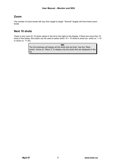#### **Zoom**

The number of zoom-levels will vary from target to target. "Normal" targets will have three zoomlevels.

#### **Next 10 shots**

There is only room for 10 shots values in the list to the right on the display. If there are more than 10 shots in the series, this button can be used to select which 10 + 10 shots to show (ex. shots no. 1-10) or shots no. 11-20).

> *NB!*  The Hit-markings will display all the shots that are fired. Use the "Mark series" choice on "Menu 2" to display only the shots that are displayed in the list.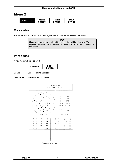## **Menu 2**

| Mark<br>2<br>MENU<br>series | Print<br>series | Save<br>series |
|-----------------------------|-----------------|----------------|
|-----------------------------|-----------------|----------------|

#### **Mark series**

The series that is shot will be marked again, with a small pause between each shot.

*NB!*  It is only the shots that are listed to the right that will be displayed. To display other shots, "Next 10 shots" on "Menu 1" must be used to select the next shots.

#### **Print series**

A new menu will be displayed:

| cа<br>ісен | ast<br>series |  |
|------------|---------------|--|
|------------|---------------|--|

**Cancel** Cancel printing and returns

**Last series** Prints out the last series

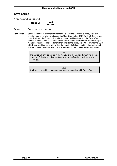#### **Save series**

A new menu will be displayed:

| ÷.<br>. .<br>e s<br>ш |  |
|-----------------------|--|
|-----------------------|--|

**Cancel** Cancel saving and returns

**Last series** Saves the series in the monitor memory. To save the series on a floppy disk, the shooter must bring a floppy disk and the User-Card to the SDU. On the SDU, the user must first insert the floppy disk, and then insert the User-Card into the Smart-Card reader. When the card is inserted, the series will be transferred from the monitor (or monitors, if the user has used more then one) to the floppy disk. After a while the SDU will give several beeps, to inform that the transfer is finished and the floppy disk and the card can be removed. Just one "Ok"-beep will inform that no series was found.

> *NB!*  The series will only be saved in the monitor and then deleted when the monitor is turned off. So the monitor must not be turned off until the series are saved on a floppy disk.

*NB!*  It will not be possible to save series when not logged on with Smart-Card.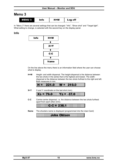### **Menu 3**

| <b>B</b><br><b>MENU</b> | Info | $H+W$ | Log off |
|-------------------------|------|-------|---------|
|-------------------------|------|-------|---------|

In "Menu 3" there are several settings that can be changed: "Info", "Show shot" and "Target light". What setting to change, is selected with the second key on the display-panel.

#### **Info**



On the line above the menu there is an information field where the user can choose what to display.

**H+W** Height- and width dispersal. The height-dispersal is the distance between the two shots in the series that is the highest and lowest. The widthdispersal is the distance between the two shots furthest to the right and left. Both measures in mm.

|  |  |  | $H = 221.0$ W = 210.0 |  |  |  |  |  |  |  |  |  |  |  |  |  |  |  |  |  |  |  |  |
|--|--|--|-----------------------|--|--|--|--|--|--|--|--|--|--|--|--|--|--|--|--|--|--|--|--|
|  |  |  |                       |  |  |  |  |  |  |  |  |  |  |  |  |  |  |  |  |  |  |  |  |
|  |  |  |                       |  |  |  |  |  |  |  |  |  |  |  |  |  |  |  |  |  |  |  |  |
|  |  |  |                       |  |  |  |  |  |  |  |  |  |  |  |  |  |  |  |  |  |  |  |  |
|  |  |  |                       |  |  |  |  |  |  |  |  |  |  |  |  |  |  |  |  |  |  |  |  |

**X+Y** X and Y coordinate on the last shot (mm).

| m         |  |
|-----------|--|
|           |  |
|           |  |
|           |  |
|           |  |
|           |  |
| :::::<br> |  |
|           |  |
|           |  |
|           |  |
|           |  |
|           |  |
|           |  |
|           |  |

**C-C** Centre-centre dispersal, i.e. the distance between the two shots furthest apart from each other (mm).

|  |  | $C-C = 236.1$ |
|--|--|---------------|
|  |  |               |
|  |  |               |
|  |  |               |
|  |  |               |

**Name** The shooters name is displayed (programmed into the User-Card)

a a John Ohisen a shekarar 1990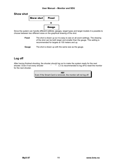#### **Show shot**



Since the system can handle different calibres, gauges, target types and target models it is possible to choose between two different sizes on the graphical drawing of the shot.

- **Fixed** The shot is drawn up so it is easy to see on all zoom-settings. The drawing of the shot can be both larger and smaller than the gauge. This setting is recommended for targets at 100 meters and up.
- **Gauge** The shot is drawn up with the same size as the gauge.

#### **Log off**

After having finished shooting, the shooter should log out to make the system ready for the next shooter. Even if not every shooter  $\cdots$  and  $\cdots$  of  $\mathcal{I}$ , it is recommended to log off to reset the monitor for the next shooter.

> *NB!*  Even if the Smart-Card is removed, the monitor will not log off.